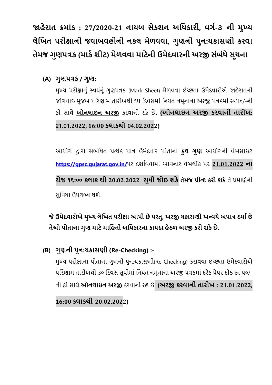**જાહેરાત ક્રમાાંક : 27/2020-21 નાયબ સેકશન અધિકારી, વર્ગ-૩ ની મુખ્ય લેધિત પરીક્ષાની જવાબવહીની નકલ મેળવવા, ર્ુણની પુન:ચકાસણી કરવા તેમજ ર્ુણપત્રક (માક ગ શીટ) મેળવવા માટેની ઉમેદવારની અરજી સાંબાંિેસૂચના**

**(A) ર્ુણપત્રક / ર્ુણ:**

મુખ્ય પરીક્ષાનુું સ્વયુંનુું ગુણપત્રક (Mark Sheet) મેળવવા ઈચ્છતા ઉમેદવારોએ જાહેરાતની જોગવાઇ મુજબ પરિણામ તારીખથી ૧૫ દિવસમાં નિયત નમૂનાના અરજી પત્રકમાં રુ.૫૦/-ની ફી સાથે **ઓનલાઇન અરજી** કરવાની રહેછે**. (ઓનલાઇન અરજી કરવાની તારીિ: 21.01.2022, 16:00 કલાકથી 04.02.2022)**

આયોગ દ્વારા સબુંરિત પ્રત્યેક પાત્ર ઉમેદવાર પોતાના **કુલ ર્ુણ** આયોગની વેબસાઇટ **https://gpsc.[gujarat](https://gpsc.gujarat.gov.in/).gov.in/**પર દર્ાાવવામાું આવનાર વેબલીકું પર **21.01.2022 ના રોજ ૧૬:૦૦ કલાક થી 20.02.2022 સુિી જોઇ શકેતેમજ પ્રીન્ટ કરી શકે**તે પ્રમાણેની સુવિધા ઉપલબ્ધ થશે.

**જેઉમદેવારોએ મુખ્ય લધેિત પરીક્ષા આપી છેપરાંતુ, અરજી ચકાસણી અ ન્વયે અપાત્ર યયાગ છે તેઓ પોતાના ર્ુણ માટેમાધહતી અધિકારના કાયદા હેયળ અરજી કરી શકેછે.**

**(B) ર્ુણની પુન:ચકાસણી (Re-Checking) :-**

મુખ્ય પરીક્ષાના પોતાના ગુણની પુન:ચકાસણી(Re-Checking) કરાવવા ઇચ્છતા ઉમેદવારોએ પરિણામ તારીખથી ૩૦ દિવસ સુધીમાં નિયત નમુનાના અરજી પત્રકમાં દરેક પેપર દીઠ રૂ. ૫૦/-ની ફી સાથે **ઓનલાઇન અરજી** કરવાની રહેછે. **(અરજી કરવાની તારીિ : 21.01.2022,** 

**16:00 કલાકથી 20.02.2022)**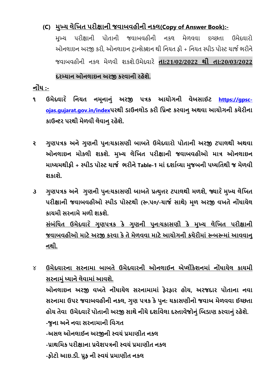## **(C) મુખ્ય લેધિત પરીક્ષાની જવાબવહીની નકલ(Copy of Answer Book):-**

મુખ્ય પરીક્ષાની પોતાની જવાબવહીની નકલ મેળવવા ઇચ્છતા ઉમેદવારો ઓનલાઇન અરજી કરી, ઓનલાઇન ટરાન્સેક્ર્ન થી રનયત ફી + રનયત સ્પીડ પોસ્ટ ચાજા ભરીને જવાબવહીની નકલ મેળવી ર્કર્ે.ઉમેદવારે **તા:21/02/2022 થી તા:20/03/2022**

### **દરમ્યાન ઓનલાઇન અરજી કરવાની રહેશે.**

**નોાંિ :-**

- **૧ ઉમેદવાર ે ધનયત નમૂનાનુાં અરજી પત્રક આયોર્ની વેબસાઈટ https://[gpsc](https://gpsc-ojas.gujarat.gov.in/index)ojas.[gujarat](https://gpsc-ojas.gujarat.gov.in/index).gov.in/indexપરથી ડાઉનલોડ કરી ધપ્રન્ટ કરવાનુઅથવા આયોર્ની કચેરીના કાઉન્ટર પરથી મળે વી લવે ાનુરહેશે.**
- **૨ ર્ુણપત્રક અનેર્ણુ ની પુન:ચકાસણી બાબતે ઉમેદવારો પોતાની અરજી ટપાલથી અથવા ઓનલાઇન મોકલી શકશે. મુખ્ય લેધિત પરીક્ષાની જવાબવહીઓ માત્ર ઓનલાઇન માધ્યમથીફી + સ્પીડ પોસ્ટ ચાજગ ભરીને Table-1 માાંદશાગવ્યા મજુ બની પધ્િધતથી જ મેળવી શકાશે.**
- **૩ ર્ુણપત્રક અને ર્ુણની પુન:ચકાસણી બાબતેપ્રત્યુત્તર ટપાલથી મળશે, જ્યાર ેમુખ્ય લેધિત પરીક્ષાની જવાબવહીઓ સ્પીડ પોસ્ટથી (રૂ.૫૦/-ચાજગ સાથે) મૂળ અરજી વિતેનોિાં ાયેલ કાયમી સરનામેમળી શકશે. સાંબાંધિત ઉમેદવાર ે ર્ણુ પત્રક કે ર્ુણની પનુ :ચકાસણી કે મુખ્ય લેધિત પરીક્ષાની જવાબવહીઓ માટે અરજી કરવા કે તે મેળવવા માટે આયોર્ની કચેરીમાાં રૂબરૂમાાં આવવાનુ નથી.**

૪ **ઉમેદવારના સરનામા બાબતે ઉમેદવારની ઓનલાઈન એપ્લીકેશનમાાં નોાંિાયેલ કાયમી સરનામુાંધ્યાનેલેવામાાંઆવશે. ઓનલાઇન અરજી વિતે નોાંિાયેલ સરનામામાાં ફેરફાર હોય, અરજદાર પોતાના નવા સરનામા ઉપર જવાબવહીની નકલ, ર્ુણ પત્રક કેપુન: ચકાસણીનો જવાબ મેળવવા ઈચ્છતા હોય તેવા ઉમેદવાર ેપોતાની અરજી સાથેનીચેદશાગવેલા દસ્તાવજે ોનુાંધબડાણ કરવાનુાંરહેશે. -જુના અનેનવા સરનામાની ધવર્ત -અસલ ઓનલાઈન અરજીની સ્વયાં પ્રમાણીત નકલ -પ્રાથધમક પરીક્ષાના પ્રવેશપત્રની સ્વયાં પ્રમાણીત નકલ -ફોટો આઇ.ડી. પ્રુફ ની સ્વયાંપ્રમાણીત નકલ**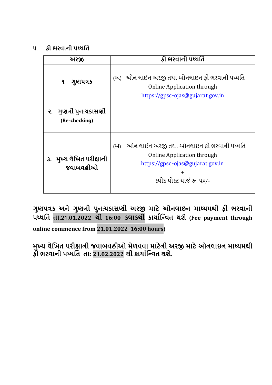૫. **ફી ભરવાની પધ્િધત**

| <u> અરજી</u>                         | ફી ભરવાની પધ્ધતિ                                                                                                                                                    |
|--------------------------------------|---------------------------------------------------------------------------------------------------------------------------------------------------------------------|
| ગુણપત્રક<br>٩                        | (અ) ઓન લાઈન અરજી તથા ઓનલાઇન ફી ભરવાની પધ્ધતિ<br><b>Online Application through</b><br>https://gpsc-ojas@gujarat.gov.in                                               |
| ૨. ગુણની પુન:યકાસણી<br>(Re-checking) |                                                                                                                                                                     |
| ૩. મુખ્ય લેખિત પરીક્ષાની<br>જવાબવહીઓ | ઓન લાઈન અરજી તથા ઓનલાઇન ફી ભરવાની પધ્ધતિ<br>(U)<br><b>Online Application through</b><br>https://gpsc-ojas@gujarat.gov.in<br>$\ddot{}$<br>સ્પીડ પોસ્ટ યાર્જ રુ. ૫૦/- |

**ર્ુણપત્રક અને ર્ુણની પુન:ચકાસણી અરજી માટે ઓનલાઇન માધ્યમથી ફી ભરવાની પધ્િધત તા.21.01.2022 થી 16:00 કલાકથી કાયાગધન્વત થશે (Fee payment through** 

**online commence from 21.01.2022 16:00 hours)**

**મુખ્ય લેધિત પરીક્ષાની જવાબવહીઓ મેળવવા માટેની અરજી માટે ઓનલાઇન માધ્યમથી ફી ભરવાની પધ્િધત તા: 21.02.2022 થી કાયાગધન્વત થશે.**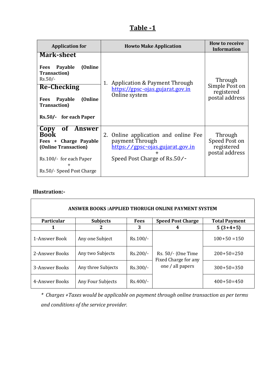## **Table -1**

| <b>Application for</b>                                                                                                                                                                          | <b>Howto Make Application</b>                                                                                                         | <b>How to receive</b><br><b>Information</b>               |
|-------------------------------------------------------------------------------------------------------------------------------------------------------------------------------------------------|---------------------------------------------------------------------------------------------------------------------------------------|-----------------------------------------------------------|
| <b>Mark-sheet</b><br>Fees Payable<br>(Online<br><b>Transaction</b> )<br>$Rs.50/-$<br><b>Re-Checking</b><br>(Online)<br>Payable<br><b>Fees</b><br><b>Transaction</b> )<br>Rs.50/- for each Paper | Application & Payment Through<br>1.<br>https://gpsc-ojas.gujarat.gov.in<br>Online system                                              | Through<br>Simple Post on<br>registered<br>postal address |
| Copy<br>of Answer<br><b>Book</b><br>Charge Payable<br>Fees +<br>(Online Transaction)<br>Rs.100/- for each Paper<br>$\pm$<br>Rs.50/- Speed Post Charge                                           | Online application and online Fee<br>2.<br>payment Through<br><u>https://gpsc-ojas.gujarat.gov.in</u><br>Speed Post Charge of Rs.50/- | Through<br>Speed Post on<br>registered<br>postal address  |

#### **Illustration:-**

|                   | <b>ANSWER BOOKS:APPLIED THORUGH ONLINE PAYMENT SYSTEM</b> |             |                                            |                      |
|-------------------|-----------------------------------------------------------|-------------|--------------------------------------------|----------------------|
| <b>Particular</b> | <b>Subjects</b>                                           | <b>Fees</b> | <b>Speed Post Charge</b>                   | <b>Total Payment</b> |
|                   |                                                           | 3           | 4                                          | $5(3+4+5)$           |
| 1-Answer Book     | Any one Subject                                           | $Rs.100/-$  |                                            | $100+50=150$         |
| 2-Answer Books    | Any two Subjects                                          | $Rs.200/-$  | Rs. 50/- (One Time<br>Fixed Charge for any | $200+50=250$         |
| 3-Answer Books    | Any three Subjects                                        | Rs.300/-    | one / all papers                           | $300+50=350$         |
| 4-Answer Books    | Any Four Subjects                                         | $Rs.400/-$  |                                            | $400+50=450$         |

*\* Charges +Taxes would be applicable on payment through online transaction as per terms and conditions of the service provider.*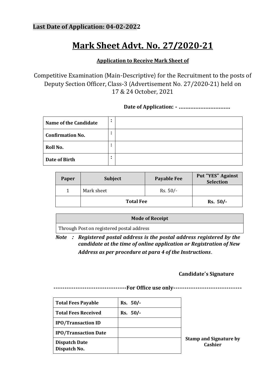## **Mark Sheet Advt. No. 27/2020-21**

### **Application to Receive Mark Sheet of**

Competitive Examination (Main-Descriptive) for the Recruitment to the posts of Deputy Section Officer, Class-3 (Advertisement No. 27/2020-21) held on 17 & 24 October, 2021

**Date of Application: - ………………………….**

| Name of the Candidate   | $\bullet$      |  |
|-------------------------|----------------|--|
| <b>Confirmation No.</b> | $\bullet$<br>٠ |  |
| Roll No.                | $\bullet$<br>٠ |  |
| Date of Birth           | $\bullet$      |  |

| Paper | <b>Subject</b>   | <b>Payable Fee</b> | <b>Put "YES" Against</b><br>Selection |
|-------|------------------|--------------------|---------------------------------------|
|       | Mark sheet       | $Rs. 50/-$         |                                       |
|       | <b>Total Fee</b> |                    | $Rs. 50/-$                            |

**Mode of Receipt** Through Post on registered postal address

*Note* **:** *Registered postal address is the postal address registered by the candidate at the time of online application or Registration of New Address as per procedure at para 4 of the Instructions***.**

#### **Candidate's Signature**

**---------------------------------For Office use only-------------------------------**

| <b>Total Fees Payable</b>            | Rs. 50/- |      |
|--------------------------------------|----------|------|
| <b>Total Fees Received</b>           | Rs. 50/- |      |
| <b>IPO/Transaction ID</b>            |          |      |
| <b>IPO/Transaction Date</b>          |          |      |
| <b>Dispatch Date</b><br>Dispatch No. |          | Stai |

**Stamp and Signature by Cashier**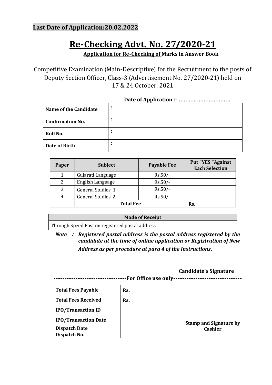## **Last Date of Application:20.02.2022**

## **Re-Checking Advt. No. 27/2020-21**

**Application for Re-Checking of Marks in Answer Book**

Competitive Examination (Main-Descriptive) for the Recruitment to the posts of Deputy Section Officer, Class-3 (Advertisement No. 27/2020-21) held on 17 & 24 October, 2021

| Name of the Candidate   | ٠      |  |
|-------------------------|--------|--|
| <b>Confirmation No.</b> | ٠<br>٠ |  |
| Roll No.                | ٠<br>٠ |  |
| Date of Birth           | ٠<br>٠ |  |

| Paper | <b>Subject</b>    | <b>Payable Fee</b> | Put "YES "Against<br><b>Each Selection</b> |
|-------|-------------------|--------------------|--------------------------------------------|
|       | Gujarati Language | $Rs.50/-$          |                                            |
| 2     | English Language  | $Rs.50/-$          |                                            |
| 3     | General Studies-1 | $Rs.50/-$          |                                            |
| 4     | General Studies-2 | $Rs.50/-$          |                                            |
|       | <b>Total Fee</b>  |                    | Rs.                                        |

#### **Mode of Receipt**

Through Speed Post on registered postal address

*Note* **:** *Registered postal address is the postal address registered by the candidate at the time of online application or Registration of New Address as per procedure at para 4 of the Instructions***.**

#### **Candidate's Signature**

**---------------------------------For Office use only-------------------------------**

| <b>Total Fees Payable</b>   | Rs. |                               |
|-----------------------------|-----|-------------------------------|
| <b>Total Fees Received</b>  | Rs. |                               |
| <b>IPO/Transaction ID</b>   |     |                               |
| <b>IPO/Transaction Date</b> |     | <b>Stamp and Signature by</b> |
| <b>Dispatch Date</b>        |     | Cashier                       |
| Dispatch No.                |     |                               |
|                             |     |                               |